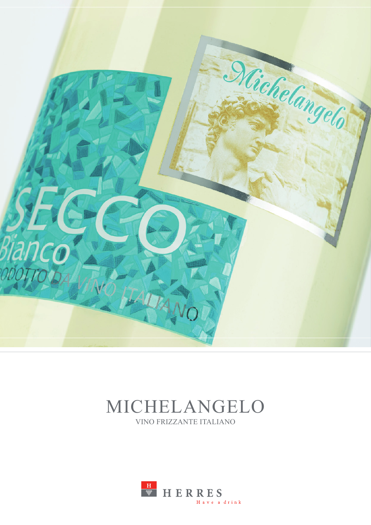

# MICHELANGELO VINO FRIZZANTE ITALIANO